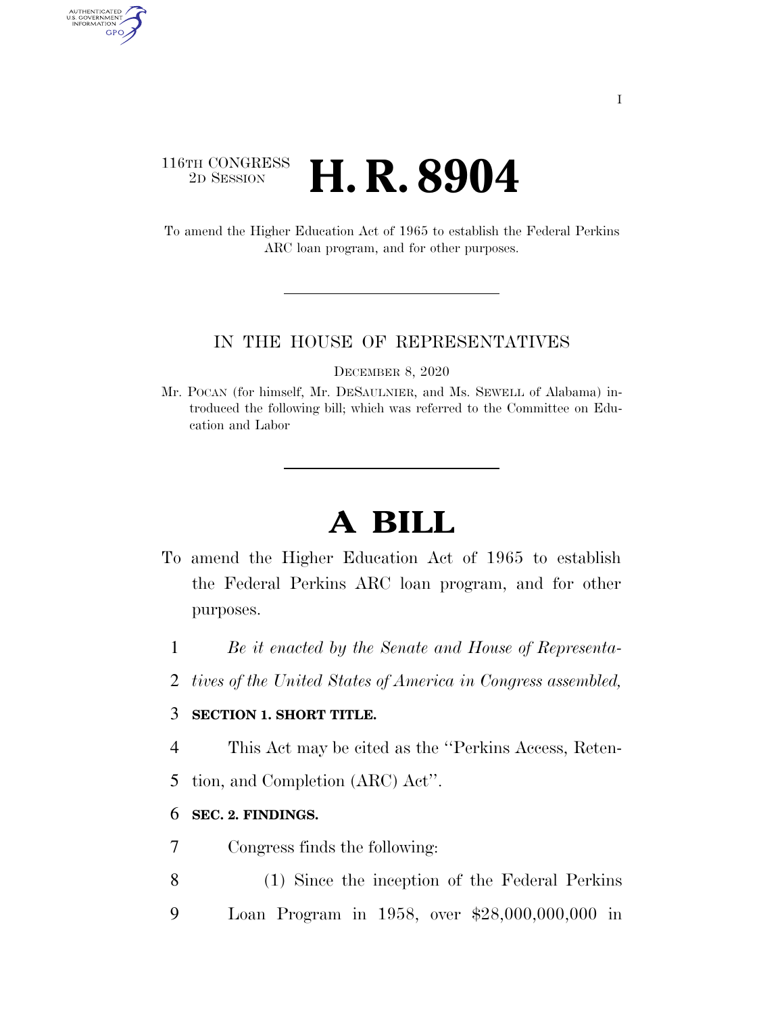### 116TH CONGRESS <sup>2D SESSION</sup> **H. R. 8904**

AUTHENTICATED<br>U.S. GOVERNMENT<br>INFORMATION GPO

> To amend the Higher Education Act of 1965 to establish the Federal Perkins ARC loan program, and for other purposes.

#### IN THE HOUSE OF REPRESENTATIVES

DECEMBER 8, 2020

Mr. POCAN (for himself, Mr. DESAULNIER, and Ms. SEWELL of Alabama) introduced the following bill; which was referred to the Committee on Education and Labor

# **A BILL**

- To amend the Higher Education Act of 1965 to establish the Federal Perkins ARC loan program, and for other purposes.
	- 1 *Be it enacted by the Senate and House of Representa-*
	- 2 *tives of the United States of America in Congress assembled,*

#### 3 **SECTION 1. SHORT TITLE.**

- 4 This Act may be cited as the ''Perkins Access, Reten-
- 5 tion, and Completion (ARC) Act''.

#### 6 **SEC. 2. FINDINGS.**

- 7 Congress finds the following:
- 8 (1) Since the inception of the Federal Perkins 9 Loan Program in 1958, over \$28,000,000,000 in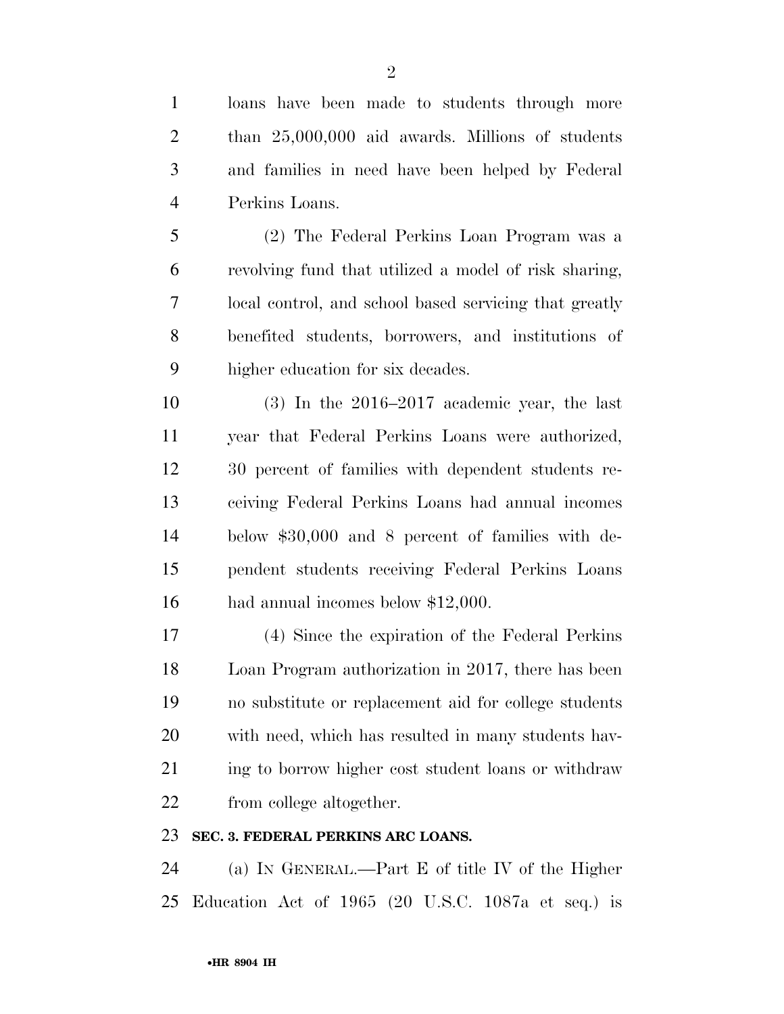loans have been made to students through more than 25,000,000 aid awards. Millions of students and families in need have been helped by Federal Perkins Loans.

 (2) The Federal Perkins Loan Program was a revolving fund that utilized a model of risk sharing, local control, and school based servicing that greatly benefited students, borrowers, and institutions of higher education for six decades.

 (3) In the 2016–2017 academic year, the last year that Federal Perkins Loans were authorized, 30 percent of families with dependent students re- ceiving Federal Perkins Loans had annual incomes below \$30,000 and 8 percent of families with de- pendent students receiving Federal Perkins Loans had annual incomes below \$12,000.

 (4) Since the expiration of the Federal Perkins Loan Program authorization in 2017, there has been no substitute or replacement aid for college students with need, which has resulted in many students hav-21 ing to borrow higher cost student loans or withdraw from college altogether.

#### **SEC. 3. FEDERAL PERKINS ARC LOANS.**

 (a) IN GENERAL.—Part E of title IV of the Higher Education Act of 1965 (20 U.S.C. 1087a et seq.) is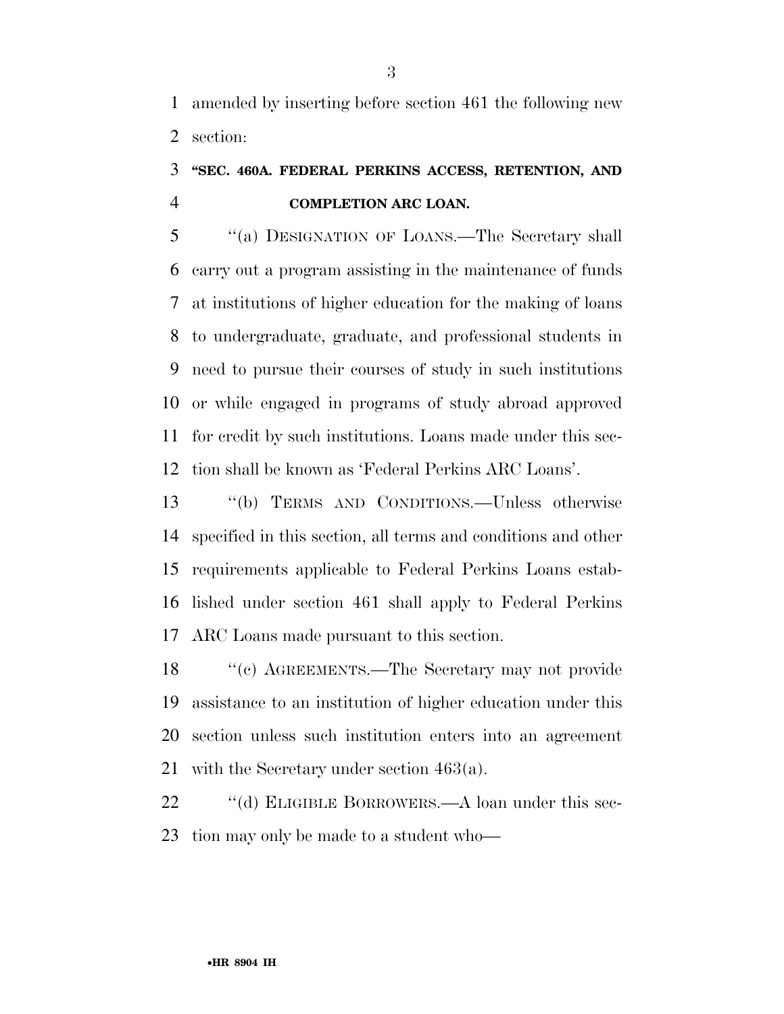amended by inserting before section 461 the following new section:

## **''SEC. 460A. FEDERAL PERKINS ACCESS, RETENTION, AND COMPLETION ARC LOAN.**

 ''(a) DESIGNATION OF LOANS.—The Secretary shall carry out a program assisting in the maintenance of funds at institutions of higher education for the making of loans to undergraduate, graduate, and professional students in need to pursue their courses of study in such institutions or while engaged in programs of study abroad approved for credit by such institutions. Loans made under this sec-tion shall be known as 'Federal Perkins ARC Loans'.

 ''(b) TERMS AND CONDITIONS.—Unless otherwise specified in this section, all terms and conditions and other requirements applicable to Federal Perkins Loans estab- lished under section 461 shall apply to Federal Perkins ARC Loans made pursuant to this section.

 ''(c) AGREEMENTS.—The Secretary may not provide assistance to an institution of higher education under this section unless such institution enters into an agreement with the Secretary under section 463(a).

22 "(d) ELIGIBLE BORROWERS.—A loan under this sec-tion may only be made to a student who—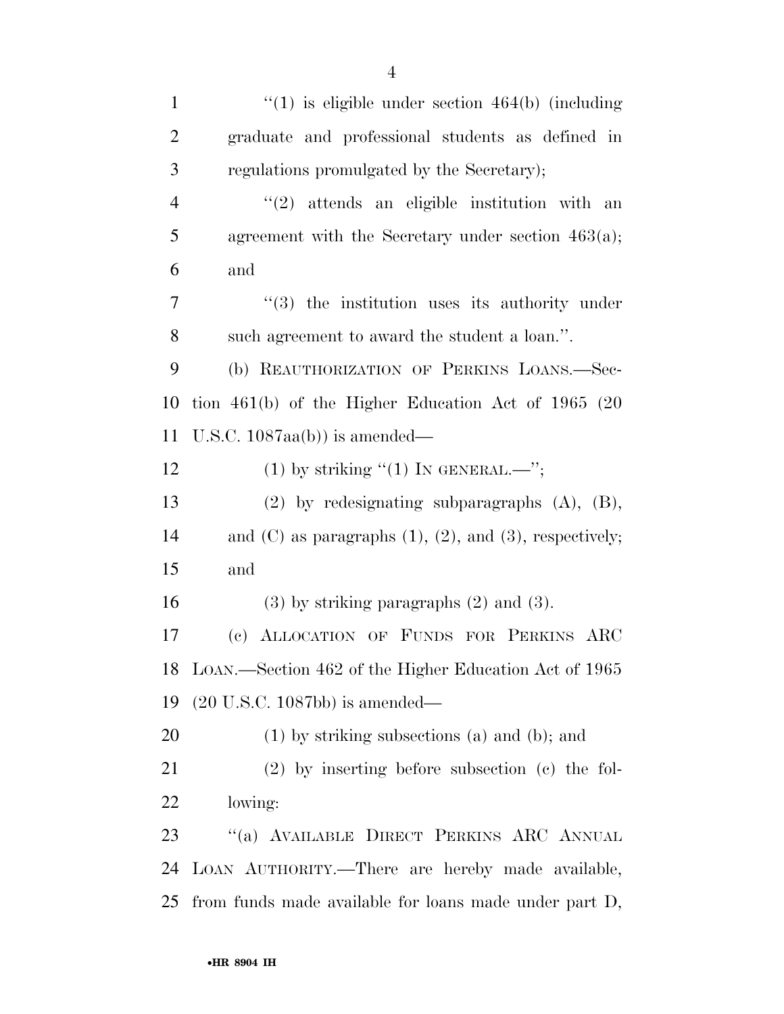| $\mathbf{1}$   | $\lq(1)$ is eligible under section 464(b) (including              |
|----------------|-------------------------------------------------------------------|
| $\overline{2}$ | graduate and professional students as defined in                  |
| 3              | regulations promulgated by the Secretary);                        |
| 4              | $(2)$ attends an eligible institution with an                     |
| 5              | agreement with the Secretary under section $463(a)$ ;             |
| 6              | and                                                               |
| 7              | $(3)$ the institution uses its authority under                    |
| 8              | such agreement to award the student a loan.".                     |
| 9              | (b) REAUTHORIZATION OF PERKINS LOANS.-Sec-                        |
| 10             | tion $461(b)$ of the Higher Education Act of 1965 (20             |
| 11             | U.S.C. $1087aa(b)$ is amended—                                    |
| 12             | (1) by striking "(1) IN GENERAL.—";                               |
| 13             | $(2)$ by redesignating subparagraphs $(A)$ , $(B)$ ,              |
| 14             | and $(C)$ as paragraphs $(1)$ , $(2)$ , and $(3)$ , respectively; |
| 15             | and                                                               |
| 16             | $(3)$ by striking paragraphs $(2)$ and $(3)$ .                    |
| $17\,$         | (c) ALLOCATION OF FUNDS FOR PERKINS ARC                           |
| 18             | LOAN.—Section 462 of the Higher Education Act of 1965             |
| 19             | $(20 \text{ U.S.C. } 1087 \text{bb})$ is amended—                 |
| 20             | $(1)$ by striking subsections $(a)$ and $(b)$ ; and               |
| 21             | $(2)$ by inserting before subsection $(e)$ the fol-               |
| 22             | lowing:                                                           |
| 23             | "(a) AVAILABLE DIRECT PERKINS ARC ANNUAL                          |
| 24             | LOAN AUTHORITY.—There are hereby made available,                  |
| 25             | from funds made available for loans made under part D,            |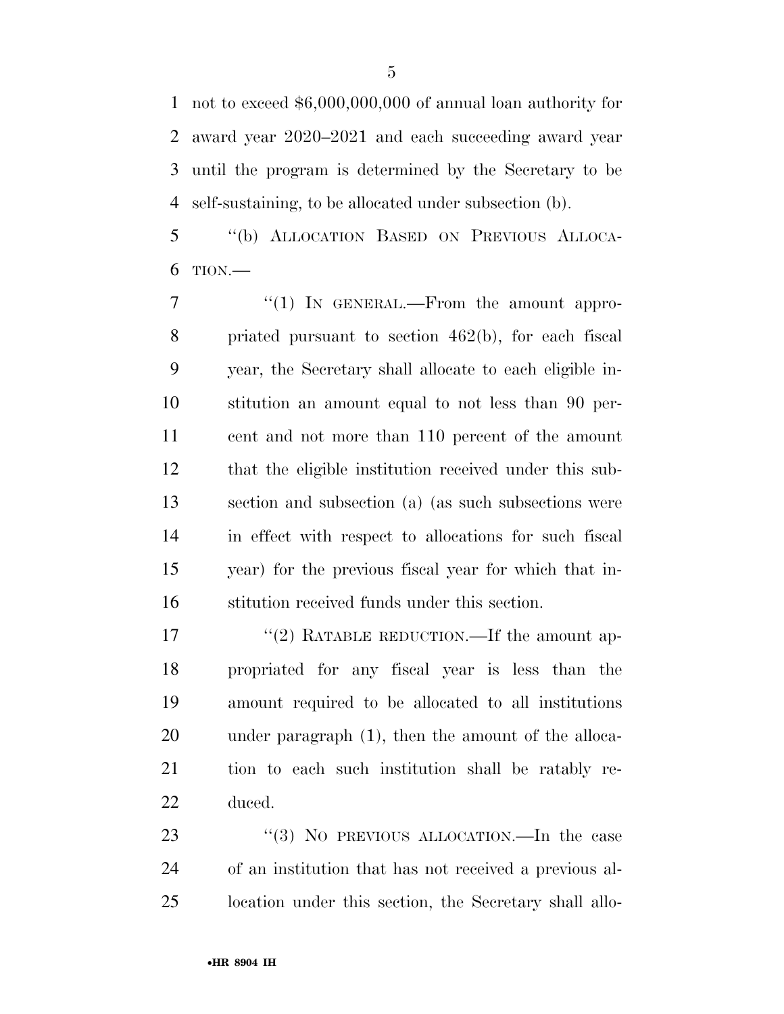not to exceed \$6,000,000,000 of annual loan authority for award year 2020–2021 and each succeeding award year until the program is determined by the Secretary to be self-sustaining, to be allocated under subsection (b).

 ''(b) ALLOCATION BASED ON PREVIOUS ALLOCA-TION.—

7 "(1) In GENERAL.—From the amount appro- priated pursuant to section 462(b), for each fiscal year, the Secretary shall allocate to each eligible in- stitution an amount equal to not less than 90 per- cent and not more than 110 percent of the amount that the eligible institution received under this sub- section and subsection (a) (as such subsections were in effect with respect to allocations for such fiscal year) for the previous fiscal year for which that in-stitution received funds under this section.

17 "(2) RATABLE REDUCTION.—If the amount ap- propriated for any fiscal year is less than the amount required to be allocated to all institutions under paragraph (1), then the amount of the alloca- tion to each such institution shall be ratably re-duced.

23 "(3) NO PREVIOUS ALLOCATION.—In the case of an institution that has not received a previous al-location under this section, the Secretary shall allo